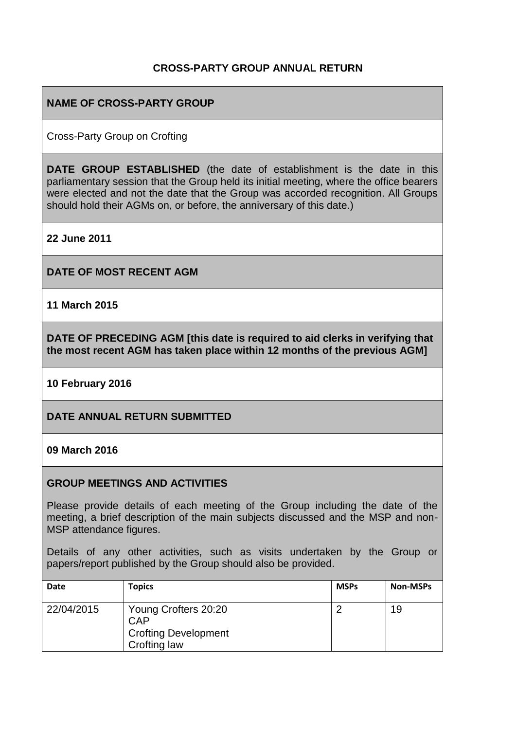## **CROSS-PARTY GROUP ANNUAL RETURN**

## **NAME OF CROSS-PARTY GROUP**

Cross-Party Group on Crofting

**DATE GROUP ESTABLISHED** (the date of establishment is the date in this parliamentary session that the Group held its initial meeting, where the office bearers were elected and not the date that the Group was accorded recognition. All Groups should hold their AGMs on, or before, the anniversary of this date.)

**22 June 2011**

**DATE OF MOST RECENT AGM**

**11 March 2015**

**DATE OF PRECEDING AGM [this date is required to aid clerks in verifying that the most recent AGM has taken place within 12 months of the previous AGM]**

**10 February 2016**

**DATE ANNUAL RETURN SUBMITTED**

**09 March 2016**

#### **GROUP MEETINGS AND ACTIVITIES**

Please provide details of each meeting of the Group including the date of the meeting, a brief description of the main subjects discussed and the MSP and non-MSP attendance figures.

Details of any other activities, such as visits undertaken by the Group or papers/report published by the Group should also be provided.

| <b>Date</b> | <b>Topics</b>                                                                     | <b>MSPs</b> | <b>Non-MSPs</b> |
|-------------|-----------------------------------------------------------------------------------|-------------|-----------------|
| 22/04/2015  | Young Crofters 20:20<br><b>CAP</b><br><b>Crofting Development</b><br>Crofting law |             | 19              |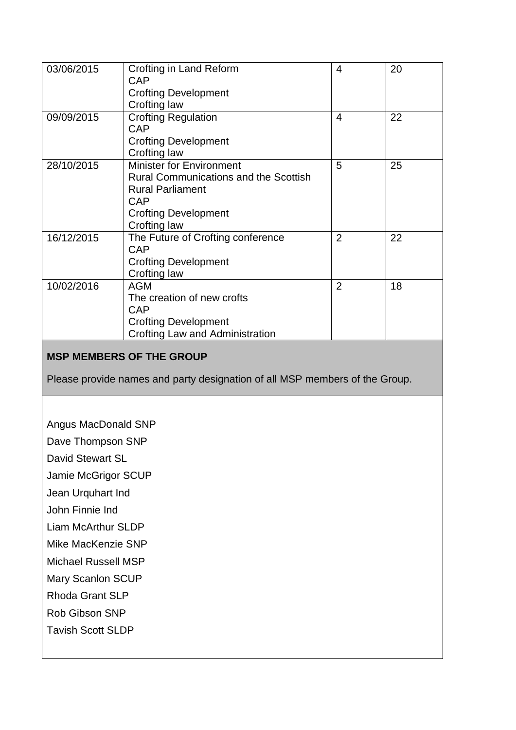| 03/06/2015 | Crofting in Land Reform                      | 4              | 20 |
|------------|----------------------------------------------|----------------|----|
|            | CAP                                          |                |    |
|            | <b>Crofting Development</b>                  |                |    |
|            | Crofting law                                 |                |    |
| 09/09/2015 | <b>Crofting Regulation</b>                   | 4              | 22 |
|            | <b>CAP</b>                                   |                |    |
|            | <b>Crofting Development</b>                  |                |    |
|            | Crofting law                                 |                |    |
| 28/10/2015 | <b>Minister for Environment</b>              | 5              | 25 |
|            | <b>Rural Communications and the Scottish</b> |                |    |
|            | <b>Rural Parliament</b>                      |                |    |
|            | <b>CAP</b>                                   |                |    |
|            | <b>Crofting Development</b>                  |                |    |
|            | Crofting law                                 |                |    |
| 16/12/2015 | The Future of Crofting conference            | $\overline{2}$ | 22 |
|            | CAP                                          |                |    |
|            | <b>Crofting Development</b>                  |                |    |
|            | Crofting law                                 |                |    |
| 10/02/2016 | <b>AGM</b>                                   | $\overline{2}$ | 18 |
|            | The creation of new crofts                   |                |    |
|            | CAP                                          |                |    |
|            | <b>Crofting Development</b>                  |                |    |
|            | Crofting Law and Administration              |                |    |

# **MSP MEMBERS OF THE GROUP**

Please provide names and party designation of all MSP members of the Group.

Angus MacDonald SNP

Dave Thompson SNP

David Stewart SL

Jamie McGrigor SCUP

Jean Urquhart Ind

John Finnie Ind

Liam McArthur SLDP

Mike MacKenzie SNP

Michael Russell MSP

Mary Scanlon SCUP

Rhoda Grant SLP

Rob Gibson SNP

Tavish Scott SLDP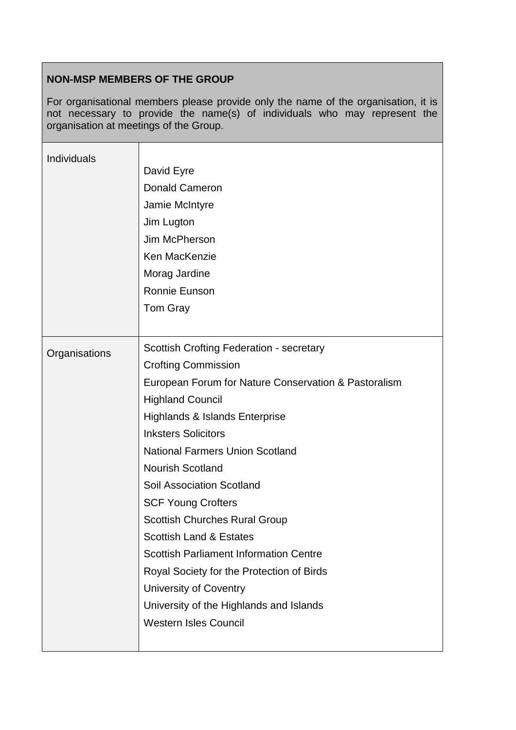# **NON-MSP MEMBERS OF THE GROUP**

For organisational members please provide only the name of the organisation, it is not necessary to provide the name(s) of individuals who may represent the organisation at meetings of the Group.

| <b>Individuals</b> | David Eyre<br><b>Donald Cameron</b><br>Jamie McIntyre<br>Jim Lugton<br>Jim McPherson<br>Ken MacKenzie<br>Morag Jardine<br><b>Ronnie Eunson</b><br>Tom Gray                                                                                                                                                                                                                                                                                                                                                                                                                                                                                                                |
|--------------------|---------------------------------------------------------------------------------------------------------------------------------------------------------------------------------------------------------------------------------------------------------------------------------------------------------------------------------------------------------------------------------------------------------------------------------------------------------------------------------------------------------------------------------------------------------------------------------------------------------------------------------------------------------------------------|
| Organisations      | <b>Scottish Crofting Federation - secretary</b><br><b>Crofting Commission</b><br>European Forum for Nature Conservation & Pastoralism<br><b>Highland Council</b><br><b>Highlands &amp; Islands Enterprise</b><br><b>Inksters Solicitors</b><br><b>National Farmers Union Scotland</b><br><b>Nourish Scotland</b><br><b>Soil Association Scotland</b><br><b>SCF Young Crofters</b><br><b>Scottish Churches Rural Group</b><br><b>Scottish Land &amp; Estates</b><br><b>Scottish Parliament Information Centre</b><br>Royal Society for the Protection of Birds<br><b>University of Coventry</b><br>University of the Highlands and Islands<br><b>Western Isles Council</b> |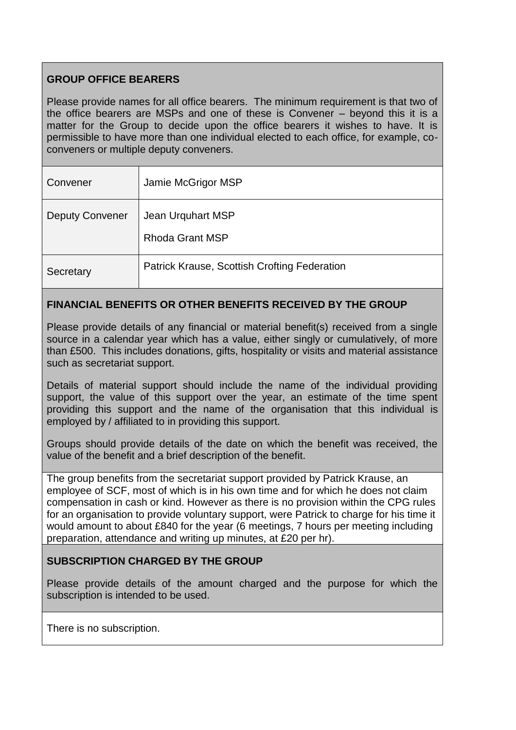# **GROUP OFFICE BEARERS**

Please provide names for all office bearers. The minimum requirement is that two of the office bearers are MSPs and one of these is Convener – beyond this it is a matter for the Group to decide upon the office bearers it wishes to have. It is permissible to have more than one individual elected to each office, for example, coconveners or multiple deputy conveners.

| Convener               | Jamie McGrigor MSP                           |
|------------------------|----------------------------------------------|
| <b>Deputy Convener</b> | Jean Urquhart MSP<br><b>Rhoda Grant MSP</b>  |
| Secretary              | Patrick Krause, Scottish Crofting Federation |

### **FINANCIAL BENEFITS OR OTHER BENEFITS RECEIVED BY THE GROUP**

Please provide details of any financial or material benefit(s) received from a single source in a calendar year which has a value, either singly or cumulatively, of more than £500. This includes donations, gifts, hospitality or visits and material assistance such as secretariat support.

Details of material support should include the name of the individual providing support, the value of this support over the year, an estimate of the time spent providing this support and the name of the organisation that this individual is employed by / affiliated to in providing this support.

Groups should provide details of the date on which the benefit was received, the value of the benefit and a brief description of the benefit.

The group benefits from the secretariat support provided by Patrick Krause, an employee of SCF, most of which is in his own time and for which he does not claim compensation in cash or kind. However as there is no provision within the CPG rules for an organisation to provide voluntary support, were Patrick to charge for his time it would amount to about £840 for the year (6 meetings, 7 hours per meeting including preparation, attendance and writing up minutes, at £20 per hr).

#### **SUBSCRIPTION CHARGED BY THE GROUP**

Please provide details of the amount charged and the purpose for which the subscription is intended to be used.

There is no subscription.